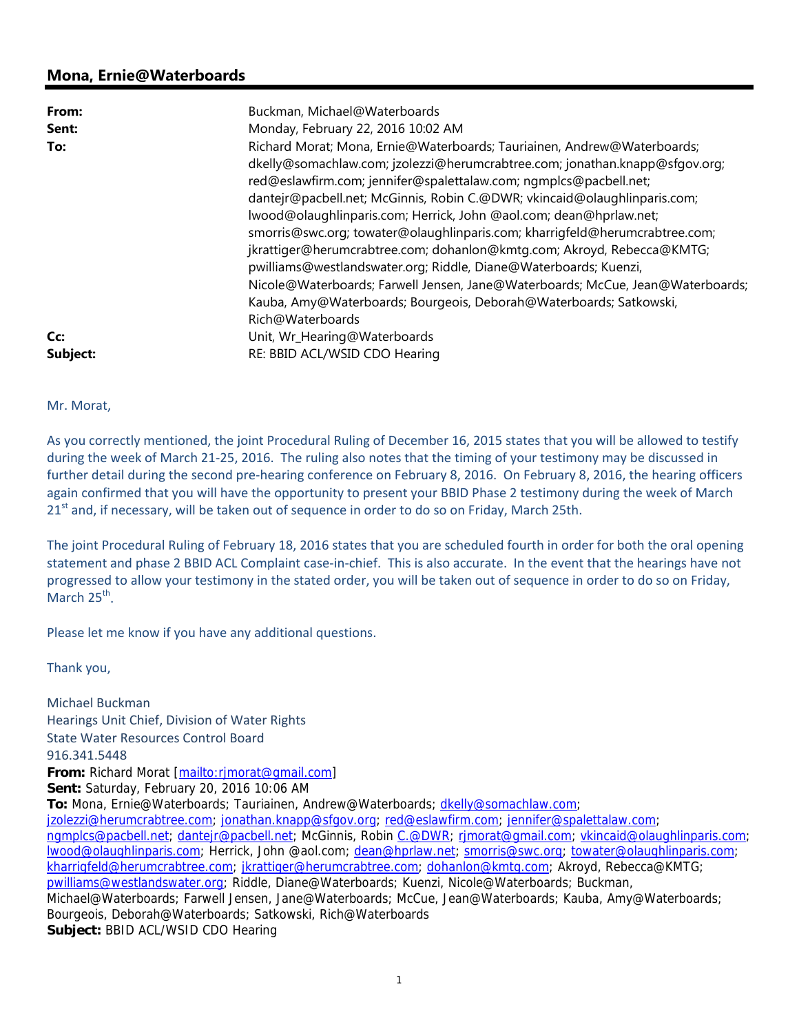## **Mona, Ernie@Waterboards**

| From:    | Buckman, Michael@Waterboards                                                   |
|----------|--------------------------------------------------------------------------------|
| Sent:    | Monday, February 22, 2016 10:02 AM                                             |
| To:      | Richard Morat; Mona, Ernie@Waterboards; Tauriainen, Andrew@Waterboards;        |
|          | dkelly@somachlaw.com; jzolezzi@herumcrabtree.com; jonathan.knapp@sfgov.org;    |
|          | red@eslawfirm.com; jennifer@spalettalaw.com; ngmplcs@pacbell.net;              |
|          | dantejr@pacbell.net; McGinnis, Robin C.@DWR; vkincaid@olaughlinparis.com;      |
|          | lwood@olaughlinparis.com; Herrick, John @aol.com; dean@hprlaw.net;             |
|          | smorris@swc.org; towater@olaughlinparis.com; kharrigfeld@herumcrabtree.com;    |
|          | jkrattiger@herumcrabtree.com; dohanlon@kmtg.com; Akroyd, Rebecca@KMTG;         |
|          | pwilliams@westlandswater.org; Riddle, Diane@Waterboards; Kuenzi,               |
|          | Nicole@Waterboards; Farwell Jensen, Jane@Waterboards; McCue, Jean@Waterboards; |
|          | Kauba, Amy@Waterboards; Bourgeois, Deborah@Waterboards; Satkowski,             |
|          | Rich@Waterboards                                                               |
| Cc:      | Unit, Wr_Hearing@Waterboards                                                   |
| Subject: | RE: BBID ACL/WSID CDO Hearing                                                  |

Mr. Morat,

As you correctly mentioned, the joint Procedural Ruling of December 16, 2015 states that you will be allowed to testify during the week of March 21‐25, 2016. The ruling also notes that the timing of your testimony may be discussed in further detail during the second pre-hearing conference on February 8, 2016. On February 8, 2016, the hearing officers again confirmed that you will have the opportunity to present your BBID Phase 2 testimony during the week of March 21<sup>st</sup> and, if necessary, will be taken out of sequence in order to do so on Friday, March 25th.

The joint Procedural Ruling of February 18, 2016 states that you are scheduled fourth in order for both the oral opening statement and phase 2 BBID ACL Complaint case-in-chief. This is also accurate. In the event that the hearings have not progressed to allow your testimony in the stated order, you will be taken out of sequence in order to do so on Friday, March  $25^{th}$ .

Please let me know if you have any additional questions.

Thank you,

Michael Buckman Hearings Unit Chief, Division of Water Rights State Water Resources Control Board 916.341.5448 **From:** Richard Morat [mailto:rjmorat@gmail.com] **Sent:** Saturday, February 20, 2016 10:06 AM **To:** Mona, Ernie@Waterboards; Tauriainen, Andrew@Waterboards; dkelly@somachlaw.com; jzolezzi@herumcrabtree.com; jonathan.knapp@sfgov.org; red@eslawfirm.com; jennifer@spalettalaw.com; ngmplcs@pacbell.net; dantejr@pacbell.net; McGinnis, Robin C.@DWR; rjmorat@gmail.com; vkincaid@olaughlinparis.com; lwood@olaughlinparis.com; Herrick, John @aol.com; dean@hprlaw.net; smorris@swc.org; towater@olaughlinparis.com; kharrigfeld@herumcrabtree.com; jkrattiger@herumcrabtree.com; dohanlon@kmtg.com; Akroyd, Rebecca@KMTG; pwilliams@westlandswater.org; Riddle, Diane@Waterboards; Kuenzi, Nicole@Waterboards; Buckman, Michael@Waterboards; Farwell Jensen, Jane@Waterboards; McCue, Jean@Waterboards; Kauba, Amy@Waterboards; Bourgeois, Deborah@Waterboards; Satkowski, Rich@Waterboards **Subject:** BBID ACL/WSID CDO Hearing